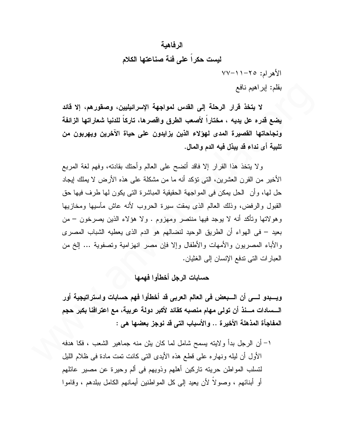# الرفاهية لبست حكراً على فئة صناعتها الكلام  $YY - 11 - 70$  الأهر ام: ٥

بقلم: إبراهيم نافع

لا يتخذ قرار الرحلة إلى القدس لمواجهة الإسرائيليين، وصقورهم، إلا قائد يضع قدره عل يديه ، مختاراً لأصعب الطرق واقصرها، تاركاً للدنيا شعاراتها الزائفة ونجاحاتها القصيرة المدى لهؤلاء الذين يزايدون على حياة الآخرين ويهربون من تلبية أي نداء قد يبذل فيه الدم والمال.

ولا يتخذ هذا القرار إلا فاقد أتضح على العالم وأحتك بقادته، وفهم لغة المربع الأخير من القرن العشرين، التي تؤكد أنه ما من مشكلة على هذه الأرض لا يملك إيجاد حل لها، و أن الحل يمكن في المو اجهة الحقيقية المباشرة التي يكون لها طرف فيها حق القبول والرفض، وذلك العالم الذي يمقت سيرة الحروب لأنه عاش مأسيها ومخازيها وهولاتها وتأكد أنه لا يوجد فيها منتصر ومهزوم . ولا هؤلاء الذين يصرخون – من بعيد – في الهواء أن الطريق الوحيد لنضالهم هو الدم الذي يعطيه الشباب المصري والأباء المصريون والأمهات والأطفال وإلا فإن مصر انهزامية وتصفوية … إلخ من العبار ات التي تدفع الإنسان إلى الغثيان.

حسابات الرجل أخطأوا فهمها

ويسبدو لسي أن السبعض في العالم العربي قد أخطأوا فهم حسابات واستراتيجية أور السسادات مسنذ أن تولى مهام منصبه كقائد لأكبر دولة عربية، مع اعترافنا بكبر حجم المفاجأة المذهلة الأخيرة .. والأسباب التي قد نوجز بعضها هي :

١– أن الر جل بدأ و لابته بسمح شامل لما كان بثن منه جماهير الشعب ، فكا هدفه ا الأول أن لبله ونهار ه على قطع هذه الأيدي التي كانت تمت مادة في ظلام الليل لنسلب المواطن حريته ناركين أهلهم وذويهم في ألم وحيرة عن مصير عائلهم أو أبنائهم ، وصولاً لأن يعيد إلى كل المواطنين أيمانهم الكامل ببلدهم ، وقاموا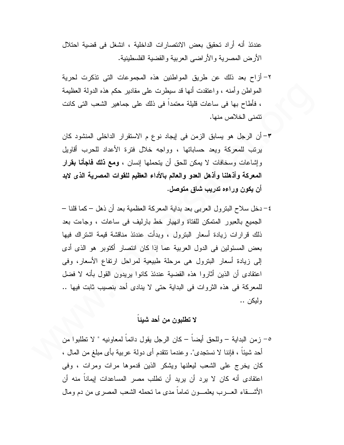عندئذ أنه أراد تحقيق بعض الانتصار ات الداخلية ، انشغل في قضية احتلال الأرض المصرية والأراضي العربية والقضية الفلسطينية.

- ٢- أزاح بعد ذلك عن طريق المواطنين هذه المجموعات التي تذكرت لحرية المواطن وأمنه ، واعتقدت أنها قد سيطرت على مقادير حكم هذه الدولة العظيمة ، فأطاح بها في ساعات قليلة معتمدا في ذلك على جماهير الشعب التي كانت نتمنى الخلاص منها.
- ٣– أن الرجل هو يسابق الزمن في ايجاد نوع م الاستقرار الداخلي المنشود كان يرتب للمعركة ويعد حساباتها ، وواجه خلال فترة الأعداد للحرب أقاويل وإشاعات وسخافات لا يمكن للحق أن يتحملها إنسان ، **ومع ذلك فاجأنا بقرار** المعركة وأذهلنا وأذهل العدو والعالم بالأداء العظيم للقوات المصرية الذى لابد أن يكون وراءه تدريب شاق متوصل.
- ٤– دخل سلاح البنرول العرببي بعد بداية المعركة العظمية بعد أن ذهل كما قلنا الجميع بالعبور المتمكن للفتاة وانهيار خط بارليف في ساعات ، وجاءت بعد ذلك قرارات زيادة أسعار البترول ، وبدأت عندئذ مناقشة قيمة اشتراك فيها بعض المسئولين في الدول العربية عما إذا كان انتصار أكتوبر هو الذي أدى إلى زيادة أسعار البترول هي مرحلة طبيعية لمراحل ارتفاع الأسعار، وفي اعتقادي أن الذين أثاروا هذه القضية عندئذ كانوا يريدون القول بأنه لا فضل للمعركة في هذه الثروات في البداية حتى لا ينادى أحد بنصيب ثابت فيها .. و لېکن ..

## لا تطلبون من أحد شيئاً

٥– زمن البداية – وللحق أيضـاً – كان الرجل يقول دائماً لمعاونيه " لا تطلبوا من أحد شيئًا ، فإننا لا نستجدي". وعندما نتقدم أي دولة عربية بأي مبلغ من المال ، كان يخرج على الشعب ليعلنها ويشكر الذين قدموها مرات ومرات ، وفي اعتقادى أنه كان لا يرد أن يريد أن تطلب مصر المساعدات إيماناً منه أن الأشــــقاء العـــــرب بـعلمـــــون تماما مدى ما تـحمله الشعب المصـري من دم ومال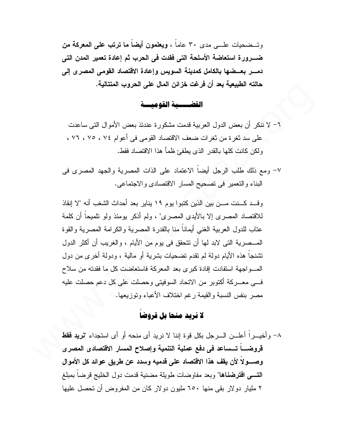وتسضحيات علــــى مدى ٣٠ عاماً ، ويعلمون أيضاً ما ترتب على المعركة من ضـــــــــــرورة استعاضة الأسلحة التي فقدت في الـحرب ثم إعادة تعمير المدن التي دمــــــر بـعـــضـها بـالكامل كمدينـة السويس وإعادة الاقتصـاد القومـى المصر ى إلـى حالته الطبيعية بعد أن فرغت خزائن المال على الحروب المتتالية.

#### القضييسية القوميسية

٦– لا ننكر أن بعض الدول العربية قدمت مشكورة عندئذ بعض الأموال التي ساعدت على سد ثغر ة من ثغر ات ضعف الاقتصاد القومي في أعو لم ٧٤ ، ٧٥ ، ٧٦ ، ولكن كانت كلها بالقدر الذي بطفئ ظمأ هذا الاقتصاد فقط.

٧– ومع ذلك طلب الرجل أيضا الاعتماد على الذات المصرية والجهد المصرى في البناء والنعمير في نصحيح المسار الاقتصادي والاجتماعي.

وقــد كـــنت مـــن بين الذين كتبوا يوم ١٩ يناير بعد أحداث الشغب أنه "لا إنقاذ للاقتصاد المصر ى إلا بالأيدى المصر ى" ، ولم أذكر بومئذ ولو تلميحاً أن كلمة عتاب للدول العربية الغنبي أيماناً منا بالقدر ة المصرية والكر امة المصرية والقوة المـــصرية التي لابد لها أن تتحقق في يوم من الأيام ، والغريب أن أكثر الدول نشنجا هذه الأيام دولة لم نقدم نضحيات بشرية أو مالية ، ودولة أخرى من دول المسو اجهة استفادت إفادة كبرى بعد المعركة فاستعاضت كل ما فقدته من سلاح فــــى معـــــركة أكتوبر من الاتحاد السوفيتي وحصلت على كل دعم حصلت عليه مصىر بنفس النسبة والقيمة رغم اختلاف الأعباء وتوزيعها. ١

### لا نرید منحا بل قروضا

٨- وأخيـــراً أعلـــن الــــرجل بكل قوة إننا لا نريد أي منحه أو أي استجداء "**نريد فقط** قروضــــاً تــــساعد في دفع عملية التنمية وإصلاح المسار الاقتصادي المصري وصــــولاً لأن يقف هذا الاقتصاد على قدميه وسدد عن طريق عوائد كل الأموال التسى افترضناها" وبعد مفاوضات طويلة مضنية قدمت دول الخليج قرضاً بمبلغ ٢ مليار دو لار بقى منها ٦٥٠ مليون دو لار كان من المفروض أن تحصل عليها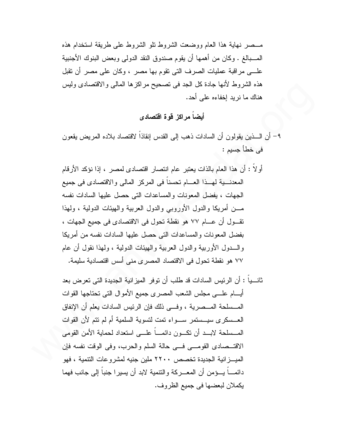مــصر نـهاية هذا العام ووضعت الشروط نلو الشروط علـى طريقة استخدام هذه المـــبالـغ . وكان من أهمها أن يقوم صندوق النقد الدولـي وبعض البنوك الأجنبية علــــي مراقبة عمليات الصرف التي تقوم بـها مصر ، وكان علـي مصر أن تقبل هذه الشروط لأنها جادة كل الجد في تصحيح مراكزها المالي والاقتصادي وليس هناك ما نريد إخفاءه على أحد.

أيضا مراكز قوة اقتصادي

- ٩– أن الــــذين يقولون أن السادات ذهب إلى القدس إنقاذا لاقتصاد بلاده المريض يقعون في خطأ جسيم :
- أو لاً : أن هذا العام بالذات يعتبر عام انتصار اقتصادي لمصر ، إذا نؤكد الأرقام المعدنــــية لمهـــذا العــــام نحسنا في المركز المالي والاقتصادي في جميع الجهات ، يفضل المعونات والمساعدات التي حصل عليها السادات نفسه مـــن أمريكا والدول الأوروبي والدول العربية والهيئات الدولية ، ولمهذا نقـول أن عــام ٧٧ هو نقطة تحول في الاقتصادي في جميع الجهات ، بفضل المعونات والمساعدات التي حصل عليها السادات نفسه من أمريكا و السدول الأوربية والدول العربية والهيئات الدولية ، ولهذا نقول أن عام ٧٧ هو نقطة تحول في الاقتصاد المصرى مني أسس اقتصادية سليمة.
- ثانـــباً : أن الر ئيس السادات قد طلب أن تو فر الميز انية الجديدة التي تعر ض بعد أبسام علسي مجلس الشعب المصرى جميع الأموال التبي تحتاجها القوات المـــسلحة المـــصرية ، وفـــي ذلك فإن الرئيس السادات يعلم أن الإنفاق العــسكر ي سيــستمر ســـواء تمت لتسوية السلمية أم لم نتم لأن القوات المــــسلحة لابــــد أن نكــــون دائمـــــاً علـــــى استعداد لـحماية الأمن القومـى الاقتـــصـادي القومــــي فــــي حالـة السلم والـحرب، وفي الوقت نفسه فإن الميـــز انية الـجديدة تخصص ٢٢٠٠ ملين جنيه لمشر و عات النتمية ، فهو دائمــــاً بــــؤمن أن المعـــــركـة والتتمية لابد أن يسيرا جنباً إلى جانب فهما يكملان لبعضها في جميع الظروف.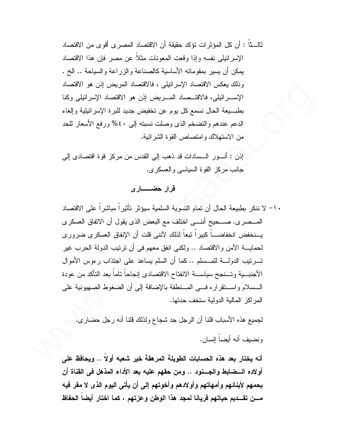ثالـــتاً : أن كل المؤثر ات تؤكد حقيقة أن الاقتصاد المصر ي أقو ي من الاقتصاد الإسرائيلي نفسه وإذا وقعت المعونات مثلاً عن مصر فإن هذا الاقتصاد بمكن أن يسير بمقوماته الأساسية كالصناعة والزراعة والسياحة .. الخ . وذلك يعكس الاقتصاد الإسرائيلي ، فالاقتصاد المريض إذن هو الاقتصاد الإســـرائيلي، فالاقتـــصاد المــــريض إذن هو الاقتصاد الإسرائيلي وكنا بطبـــبعة الحال نسمع كل بوم عن تخفيض جديد للبرة الإسرائيلية وإلغاء الدعم عندهم والتضخم الذي وصلت نسبته إلى ٤٠% ورفع الأسعار للحد من الاستهلاك وامتصاص القوة الشرائية.

اِذِنِ : أنسورِ السساداتِ قد ذهب إلى القدس من مركزٍ قوة اقتصادى إلى جانب مركز القوة السياسي والعسكري.

#### قرار حضـــــارى

• ١- لا ننكر بطبيعة الحال أن تمام التسوية السلمية سيؤثر تأثير اً مباشر اً على الاقتصاد المـــصري. صــــحيح أننــــى اختلف مع البعض الذي يقول أن الاتفاق العسكري يسنخفض انخفاضساً كبيراً تبعاً لذلك لأننى قلت أن الإنفاق العسكرى ضرورى لحمايــــة الأمن والاقتصـاد .. ولكنبي انفق معهم في أن ترتيب الدولة الحرب غير تــــرتيب الدولـــــة للمــــسلم .. كما أن السلم يساعد على اجتذاب رءوس الأموال الأجنبـــية وتـــنجح سياســــة الانفتاح الاقتصادى إنجاحاً تاماً بعد التأكد من عودة السسلام واستقراره فسي المسنطقة بالإضافة إلى أن الضغوط الصهيونية على المر اكز المالية الدولية ستخف حدتها.

لجميع هذه الأسباب قلنا أن الرجل جد شجاع ولذلك قلنا أنه رجل حضاري. ونضيف أنه أيضاً إنسان.

أنه يختار بعد هذه الحسابات الطويلة المرهقة خير شعبه أولاً .. ويحافظ على أولاده السضابط والجسنود .. ومن حقهم عليه بعد الأداء المذهل في القناة أن يحمهم لأبنائهم وأمهاتهم وأولادهم وأخوتهم إلى أن يأتى اليوم الذى لا مقر فيه مـــن تقـــديم حياتهم قريانـا لمجد هذا الوطن وعزتهم ، كما اختار أيضـا الـحفاظ